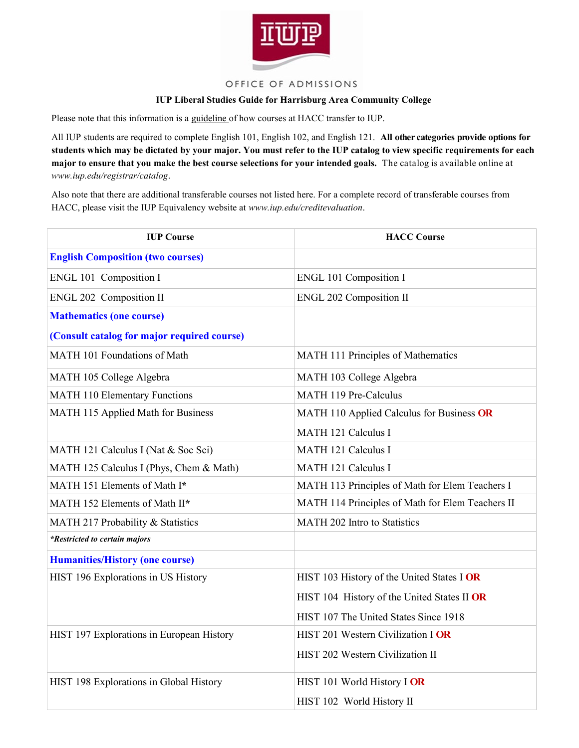

## OFFICE OF ADMISSIONS

## **IUP Liberal Studies Guide for Harrisburg Area Community College**

Please note that this information is a guideline of how courses at HACC transfer to IUP.

All IUP students are required to complete English 101, English 102, and English 121. **All other categories provide options for students which may be dictated by your major. You must refer to the IUP catalog to view specific requirements for each major to ensure that you make the best course selections for your intended goals.** The catalog is available online at *www.iup.edu/registrar/catalog*.

Also note that there are additional transferable courses not listed here. For a complete record of transferable courses from HACC, please visit the IUP Equivalency website at *www.iup.edu/creditevaluation*.

| <b>IUP Course</b>                           | <b>HACC Course</b>                               |
|---------------------------------------------|--------------------------------------------------|
| <b>English Composition (two courses)</b>    |                                                  |
| ENGL 101 Composition I                      | <b>ENGL 101 Composition I</b>                    |
| ENGL 202 Composition II                     | <b>ENGL 202 Composition II</b>                   |
| <b>Mathematics (one course)</b>             |                                                  |
| (Consult catalog for major required course) |                                                  |
| MATH 101 Foundations of Math                | MATH 111 Principles of Mathematics               |
| MATH 105 College Algebra                    | MATH 103 College Algebra                         |
| <b>MATH 110 Elementary Functions</b>        | <b>MATH 119 Pre-Calculus</b>                     |
| MATH 115 Applied Math for Business          | MATH 110 Applied Calculus for Business OR        |
|                                             | MATH 121 Calculus I                              |
| MATH 121 Calculus I (Nat & Soc Sci)         | <b>MATH 121 Calculus I</b>                       |
| MATH 125 Calculus I (Phys, Chem & Math)     | <b>MATH 121 Calculus I</b>                       |
| MATH 151 Elements of Math I*                | MATH 113 Principles of Math for Elem Teachers I  |
| MATH 152 Elements of Math II*               | MATH 114 Principles of Math for Elem Teachers II |
| MATH 217 Probability & Statistics           | MATH 202 Intro to Statistics                     |
| *Restricted to certain majors               |                                                  |
| <b>Humanities/History (one course)</b>      |                                                  |
| HIST 196 Explorations in US History         | HIST 103 History of the United States I OR       |
|                                             | HIST 104 History of the United States II OR      |
|                                             | HIST 107 The United States Since 1918            |
| HIST 197 Explorations in European History   | HIST 201 Western Civilization I OR               |
|                                             | HIST 202 Western Civilization II                 |
| HIST 198 Explorations in Global History     | HIST 101 World History I OR                      |
|                                             | HIST 102 World History II                        |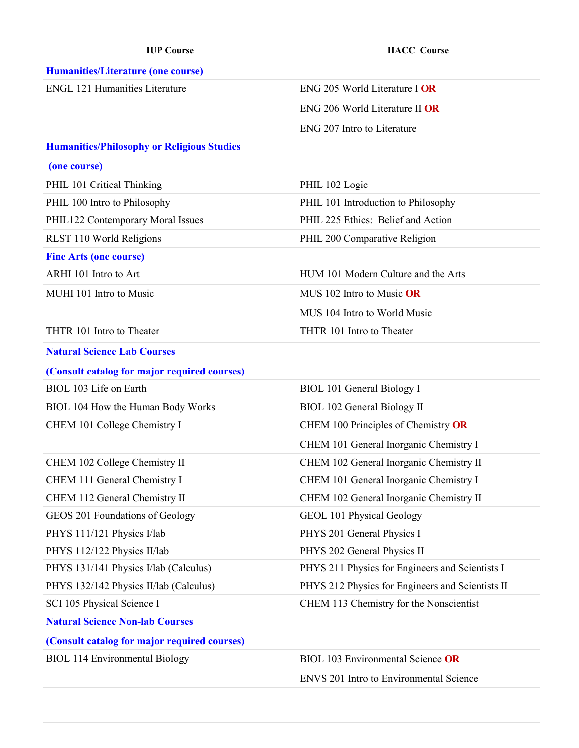| <b>IUP Course</b>                                 | <b>HACC</b> Course                               |
|---------------------------------------------------|--------------------------------------------------|
| <b>Humanities/Literature (one course)</b>         |                                                  |
| <b>ENGL 121 Humanities Literature</b>             | ENG 205 World Literature I OR                    |
|                                                   | ENG 206 World Literature II OR                   |
|                                                   | ENG 207 Intro to Literature                      |
| <b>Humanities/Philosophy or Religious Studies</b> |                                                  |
| (one course)                                      |                                                  |
| PHIL 101 Critical Thinking                        | PHIL 102 Logic                                   |
| PHIL 100 Intro to Philosophy                      | PHIL 101 Introduction to Philosophy              |
| PHIL122 Contemporary Moral Issues                 | PHIL 225 Ethics: Belief and Action               |
| RLST 110 World Religions                          | PHIL 200 Comparative Religion                    |
| <b>Fine Arts (one course)</b>                     |                                                  |
| ARHI 101 Intro to Art                             | HUM 101 Modern Culture and the Arts              |
| MUHI 101 Intro to Music                           | MUS 102 Intro to Music OR                        |
|                                                   | MUS 104 Intro to World Music                     |
| THTR 101 Intro to Theater                         | THTR 101 Intro to Theater                        |
| <b>Natural Science Lab Courses</b>                |                                                  |
| (Consult catalog for major required courses)      |                                                  |
| BIOL 103 Life on Earth                            | <b>BIOL 101 General Biology I</b>                |
| BIOL 104 How the Human Body Works                 | <b>BIOL 102 General Biology II</b>               |
| CHEM 101 College Chemistry I                      | CHEM 100 Principles of Chemistry OR              |
|                                                   | CHEM 101 General Inorganic Chemistry I           |
| CHEM 102 College Chemistry II                     | CHEM 102 General Inorganic Chemistry II          |
| CHEM 111 General Chemistry I                      | CHEM 101 General Inorganic Chemistry I           |
| CHEM 112 General Chemistry II                     | CHEM 102 General Inorganic Chemistry II          |
| GEOS 201 Foundations of Geology                   | GEOL 101 Physical Geology                        |
| PHYS 111/121 Physics I/lab                        | PHYS 201 General Physics I                       |
| PHYS 112/122 Physics II/lab                       | PHYS 202 General Physics II                      |
| PHYS 131/141 Physics I/lab (Calculus)             | PHYS 211 Physics for Engineers and Scientists I  |
| PHYS 132/142 Physics II/lab (Calculus)            | PHYS 212 Physics for Engineers and Scientists II |
| SCI 105 Physical Science I                        | CHEM 113 Chemistry for the Nonscientist          |
| <b>Natural Science Non-lab Courses</b>            |                                                  |
| (Consult catalog for major required courses)      |                                                  |
| <b>BIOL 114 Environmental Biology</b>             | <b>BIOL 103 Environmental Science OR</b>         |
|                                                   | <b>ENVS 201 Intro to Environmental Science</b>   |
|                                                   |                                                  |
|                                                   |                                                  |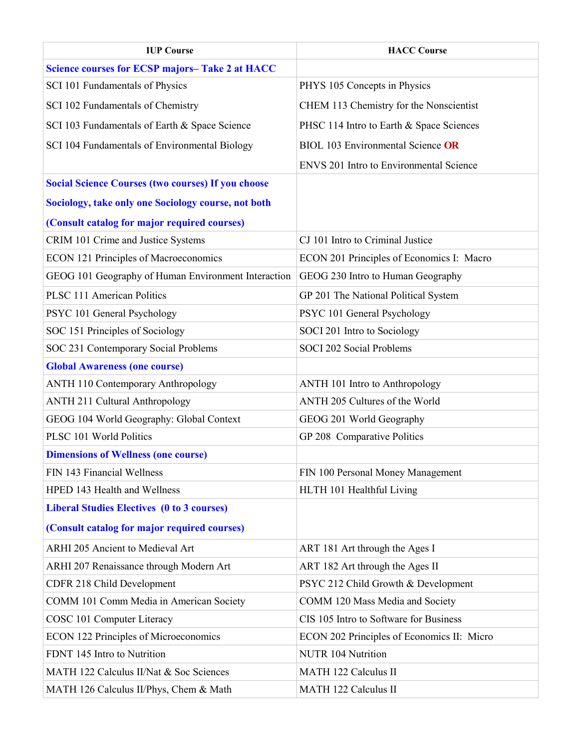| <b>IUP Course</b>                                         | <b>HACC Course</b>                             |
|-----------------------------------------------------------|------------------------------------------------|
| <b>Science courses for ECSP majors-Take 2 at HACC</b>     |                                                |
| SCI 101 Fundamentals of Physics                           | PHYS 105 Concepts in Physics                   |
| SCI 102 Fundamentals of Chemistry                         | CHEM 113 Chemistry for the Nonscientist        |
| SCI 103 Fundamentals of Earth & Space Science             | PHSC 114 Intro to Earth & Space Sciences       |
| SCI 104 Fundamentals of Environmental Biology             | <b>BIOL 103 Environmental Science OR</b>       |
|                                                           | <b>ENVS 201 Intro to Environmental Science</b> |
| <b>Social Science Courses (two courses) If you choose</b> |                                                |
| Sociology, take only one Sociology course, not both       |                                                |
| (Consult catalog for major required courses)              |                                                |
| CRIM 101 Crime and Justice Systems                        | CJ 101 Intro to Criminal Justice               |
| <b>ECON 121 Principles of Macroeconomics</b>              | ECON 201 Principles of Economics I: Macro      |
| GEOG 101 Geography of Human Environment Interaction       | GEOG 230 Intro to Human Geography              |
| <b>PLSC 111 American Politics</b>                         | GP 201 The National Political System           |
| PSYC 101 General Psychology                               | PSYC 101 General Psychology                    |
| SOC 151 Principles of Sociology                           | SOCI 201 Intro to Sociology                    |
| SOC 231 Contemporary Social Problems                      | SOCI 202 Social Problems                       |
| <b>Global Awareness (one course)</b>                      |                                                |
| <b>ANTH 110 Contemporary Anthropology</b>                 | ANTH 101 Intro to Anthropology                 |
| <b>ANTH 211 Cultural Anthropology</b>                     | ANTH 205 Cultures of the World                 |
| GEOG 104 World Geography: Global Context                  | GEOG 201 World Geography                       |
| PLSC 101 World Politics                                   | GP 208 Comparative Politics                    |
| <b>Dimensions of Wellness (one course)</b>                |                                                |
| FIN 143 Financial Wellness                                | FIN 100 Personal Money Management              |
| HPED 143 Health and Wellness                              | HLTH 101 Healthful Living                      |
| <b>Liberal Studies Electives (0 to 3 courses)</b>         |                                                |
| (Consult catalog for major required courses)              |                                                |
| ARHI 205 Ancient to Medieval Art                          | ART 181 Art through the Ages I                 |
| ARHI 207 Renaissance through Modern Art                   | ART 182 Art through the Ages II                |
| CDFR 218 Child Development                                | PSYC 212 Child Growth & Development            |
| COMM 101 Comm Media in American Society                   | COMM 120 Mass Media and Society                |
| COSC 101 Computer Literacy                                | CIS 105 Intro to Software for Business         |
| <b>ECON 122 Principles of Microeconomics</b>              | ECON 202 Principles of Economics II: Micro     |
| FDNT 145 Intro to Nutrition                               | <b>NUTR 104 Nutrition</b>                      |
| MATH 122 Calculus II/Nat & Soc Sciences                   | <b>MATH 122 Calculus II</b>                    |
| MATH 126 Calculus II/Phys, Chem & Math                    | MATH 122 Calculus II                           |